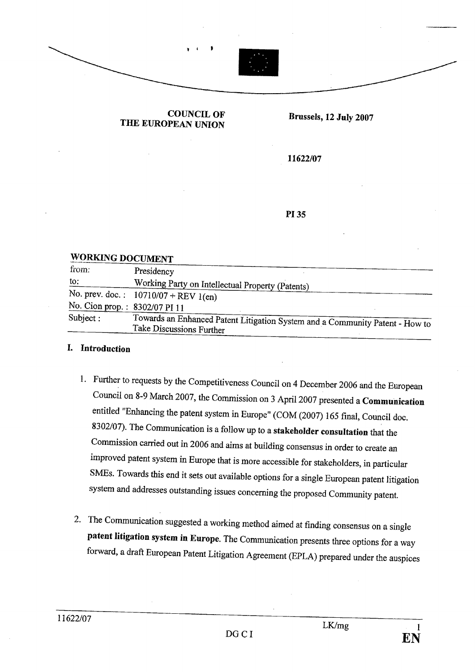

COUNCIL OF **THE EUROPEAN UNION** Brussels, 12 July 2007

11622/07

#### WORKING DOCUMENT

| from:                         | Presidency                                                                                               |
|-------------------------------|----------------------------------------------------------------------------------------------------------|
| to:                           | Working Party on Intellectual Property (Patents)                                                         |
|                               | No. prev. doc.: $10710/07 + REV 1$ (en)                                                                  |
| No. Cion prop.: 8302/07 PI 11 |                                                                                                          |
| Subject:                      | Towards an Enhanced Patent Litigation System and a Community Patent - How to<br>Take Discussions Further |

### i. Introduction

- 1. Further to requests by the Competitiveness Council on 4 December 2006 and the European Council on 8-9 March 2007, the Commission on 3 April 2007 presented a Communication entitled "Enhancing the patent system in Europe" (COM (2007) 165 final, Council doc.  $\frac{8302}{0}$ . Ine Communication is a follow up to a stakeholder consultation that the Commission carried out in 2006 and aims at building consensus in order to create an improved patent system in Europe that is more accessible for stakeholders, in paricular SMEs. Towards this end it sets out available options for a single European patent litigation system and addresses outstanding issues concerning the proposed Community patent.
- 2. The Communication suggested a working method aimed at finding consensus on a single patent litigation system in Europe. The Communication presents three options for a way forward, a draft European Patent Litigation Agreement (EPLA) prepared under the auspices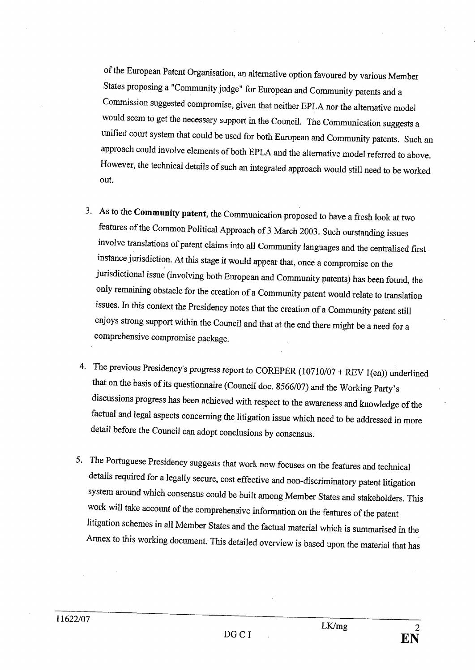of the European Patent Organisation, an alternative option favoured by various Member States proposing a "Community judge" for European and Community patents and a Commission suggested compromise, given that neither EPLA nor the alternative model would seem to get the necessary support in the Council. The Communication suggests a unified court system that could be used for both European and Community patents. Such an approach could involve elements of both EPLA and the alternative model referred to above. However, the technical details of such an integrated approach would stil need to be worked out.

- 3. As to the Community patent, the Communication proposed to have a fresh look at two features of the Common Political Approach of 3 March 2003. Such outstanding issues involve translations of patent claims into all Community languages and the centrallsed first instance jurisdiction. At this stage it would appear that, once a compromise on the jurisdictional issue (involving both European and Community patents) has been found, the only remaining obstacle for the creation of a Communty patent would relate to translation issues. In this context the Presidency notes that the creation of a Community patent stil enjoys strong support within the Council and that at the end there might be å need for a comprehensive compromise package.
- 4. The previous Presidency's progress report to COREPER (10710/07 + REV l(en)) underlined that on the basis of its questionnaire (Council doc. 8566/07) and the Working Pary's discussions progress has been achieved with respect to the awareness and knowledge of the factual and legal aspects concerning the litigation issue which need to be addressed in more detail before the Council can adopt conclusions by consensus.
- 5. The Portuguese Presidency suggests that work now focuses on the features and technical details required for a legaI1y secure, cost effective and non-discriminatory patent litigation system around which consensus could be built among Member States and stakeholders. This work wiI1 take account of the comprehensive information on the featues of the patent litigation schemes in all Member States and the factual material which is summarised in the Anex to this working document. This detailed overview is based upon the material that has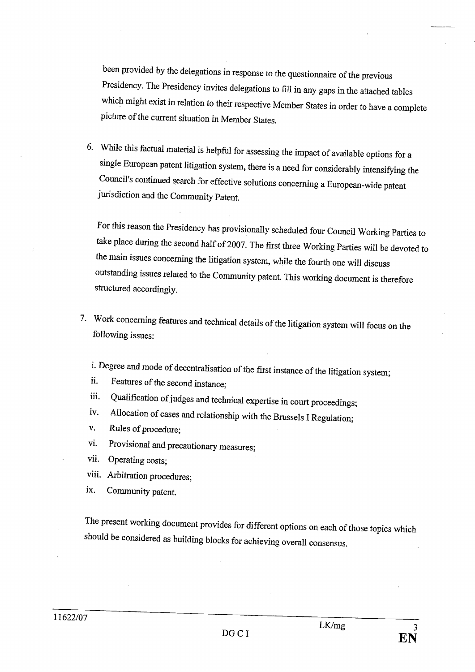been provided by the delegations in response to the questionnaire of the previous Presidency. The Presidency invites delegations to fiI1 in any gaps in the attached tables which might exist in relation to their respective Member States in order to have a complete picture of the current situation in Member States.

6. While this factual material is helpful for assessing the impact of available options for a single European patent litigation system, there is a need for considerably intensifying the Council's continued search for effective solutions concerning a European-wide patent jurisdiction and the Community Patent.

For this reason the Presidency has provisionally scheduled four Council Working Paries to take place during the second half of 2007. The first three Working Parties will be devoted to the main issues concerning the litigation system, while the fourth one will discuss outstanding issues related to the Community patent. This working document is therefore structured accordingly.

7. Work concerning features and technical details of the litigation system will focus on the following issues:

I. Degree and mode of decentralisation of the first instance of the litigation system;

ii. Features of the second instance;

- III. Qualification of judges and technical expertise in court proceedings:
- iv. Allocation of cases and relationship with the Brussels I Regulation;
- v. Rules of procedure;
- vi. Provisional and precautionary measures;
- vii. Operating costs;
- viii. Arbitration procedures;
- ix. Community patent.

The present working document provides for different options on each of those topics which should be considered as building blocks for achieving overall consensus.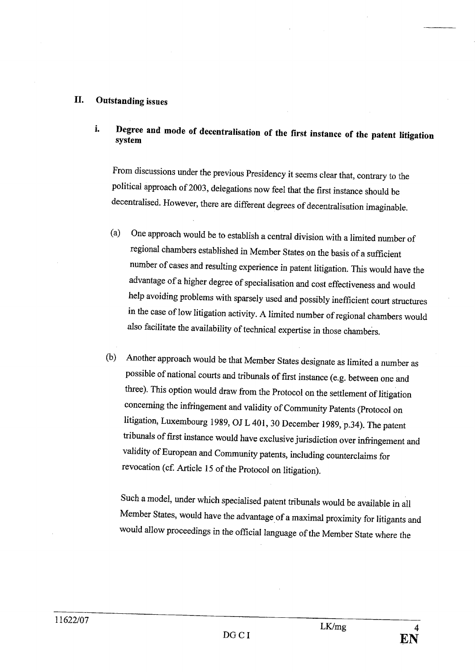#### II. Outstanding issues

i. Degree and mode of decentralisation of the first instance of the patent litigation system

From discussions under the previous Presidency it seems clear that, contrary to the political approach of 2003, delegations now feel that the first instance should be decentralised. However, there are different degrees of decentralisation imaginable.

- (a) One approach would be to establish a central division with a limited number of regional chambers established in Member States on the basis of a sufficient number of cases and resulting experience in patent litigation. This would have the advantage of a higher degree of specialisation and cost effectiveness and would help avoiding problems with sparsely used and possibly inefficient court structures in the case of low litigation activity. A limited number of regional chambers would also facilitate the availabilty of technical expertise in those chambers.
- (b) Another approach would be that Member States designate as limited a number as possible of national cours and tribunals of first instance (e.g. between one and three). This option would draw from the Protocol on the settlement of litigation concerning the infringement and validity of Community Patents (Protocol on litigation, Luxembourg 1989, OJ L 401, 30 December 1989, p.34). The patent tribunals of first instance would have exclusive jurisdiction over infringement and validity of European and Community patents, including counterclaims for revocation (cf. Article 15 of the Protocol on litigation).

Such a model, under which specialised patent tribunals would be available in all Member States, would have the advantage of a maximal proximity for litigants and would allow proceedings in the official language of the Member State where the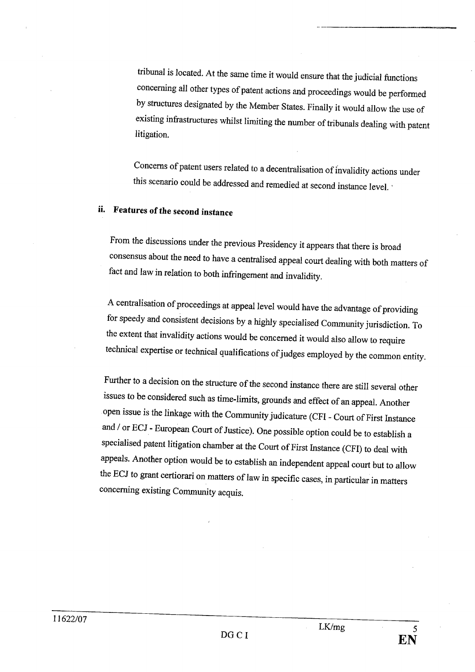tribunal is located. At the same time it would ensure that the judicial functions concerning all other types of patent actions and proceedings would be performed by structures designated by the Member States. Finally it would allow the use of existing infrastructures whilst limiting the number of tribunals dealing with patent litigation.

Concerns of patent users related to a decentralisation of invalidity actions under this scenario could be addressed and remedied at second instance level.

## ii. Features of the second instance

From the discussions under the previous Presidency it appears that there is broad consensus about the need to have a centralised appeal cour dealing with both matters of fact and law in relation to both infringement and invalidity.

A centralisation of proceedings at appeal level would have the advantage of providing for speedy and consistent decisions by a highly specialised Community jurisdiction. To the extent that invalidity actions would be concerned it would also allow to require technical expertise or technical qualifications of judges employed by the common entity.

Further to a decision on the structure of the second instance there are still several other issues to be considered such as time-limits, grounds and effect of an appeaL. Another open issue is the linkage with the Communty judicatue (CFI - Court of First Instance and / or ECJ - European Court of Justice). One possible option could be to establish a specialised patent litigation chamber at the Court of First Instance (CFI) to deal with appeals. Another option would be to establish an independent appeal court but to allow the ECJ to grant certiorari on matters of law in specific cases, in particular in matters concerning existing Community acquis.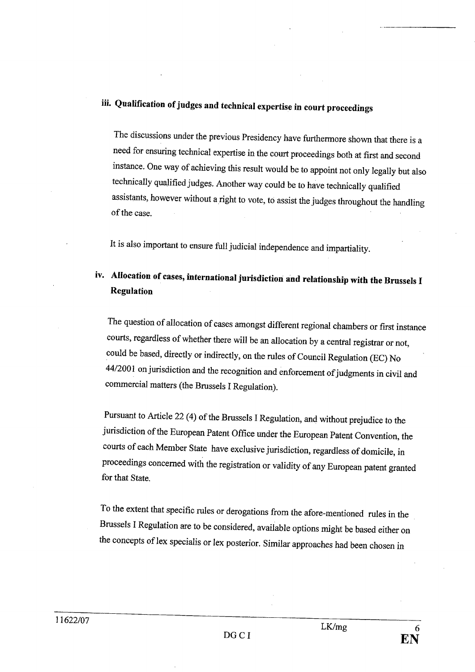# ii. Qualification of judges and technical expertise in court proceedings

The discussions under the previous Presidency have furthermore shown that there is a need for ensurng technical expertise in the court proceedings both at first and second instance. One way of achieving this result would be to appoint not only legally but also technically qualified judges. Another way could be to have technically qualified assistants, however without a right to vote, to assist the judges throughout the handling of the case.

It is also important to ensure full judicial independence and impariality.

## iv. Allocation of cases, international jurisdiction and relationship with the Brussels I Regulation

The question of allocation of cases amongst different regional chambers or ffrst instance courts, regardless of whether there will be an allocation by a central registrar or not, could be based, directly or indirectly, on the rules of Council Regulation (EC) No 44/2001 on jursdiction and the recognition and enforcement of judgments in civil and commercial matters (the Brussels I Regulation).

Pursuant to Aricle 22 (4) of the Brussels I Regulation, and without prejudice to the jurisdiction of the European Patent Office under the European Patent Convention, the courts of each Member State have exclusive jurisdiction, regardless of domicile, in proceedings concerned with the registration or validity of any European patent granted for that State.

To the extent that specific rules or derogations from the afore-mentioned rules in the Brussels I Regulation are to be considered, available options might be based either on the concepts of lex specialis or lex posterior. Similar approaches had been chosen in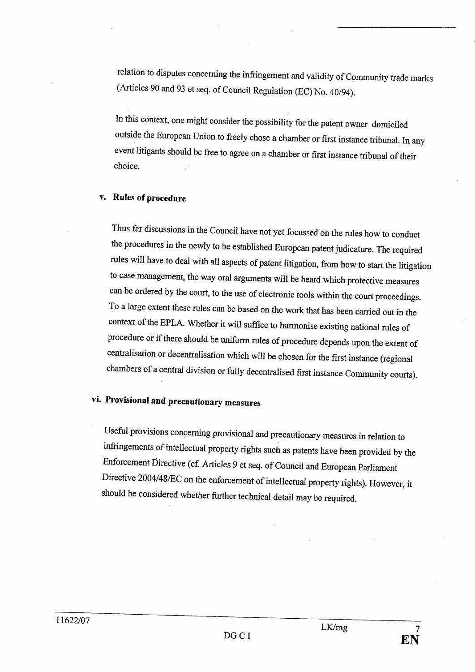relation to disputes concerning the infringement and validity of Community trade marks (Aricles 90 and 93 et seq. of Council Regulation (EC) No. 40/94).

In this context, one might consider the possibility for the patent owner domiciled outside the European Union to freely chose a chamber or first instance tribunal. In any event litigants should be free to agree on a chamber or first instance tribunal of their choice.

#### v. Rules of procedure

Thus far discussions in the Council have not yet focussed on the rules how to conduct the procedures in the newly to be established European patent judicatue. The required rules will have to deal with all aspects of patent litigation, from how to start the litigation to Case management, the way oral arguments wil be heard which protective measures can be ordered by the court, to the use of electronic tools within the court proceedings. To a large extent these rules can be based on the work that has been carried out in the context of the EPLA. Whether it will suffice to harmonise existing national rules of procedure or if there should be unform rules of procedure depends upon the extent of centralisation or decentralisation which wil be chosen for the first instance (regional chambers of a central division or fully decentralised first instance Communty cours).

# vi. Provisional and precautionary measures

Useful provisions concerning provisional and precautionary measures in relation to infingements of intellectual property rights such as patents have been provided by the Enforcement Directive (cf. Articles 9 et seq. of Council and European Parliament Directive 2004/48ÆC on the enforcement of intellectual property rights). However, it should be considered whether further technical detail may be required.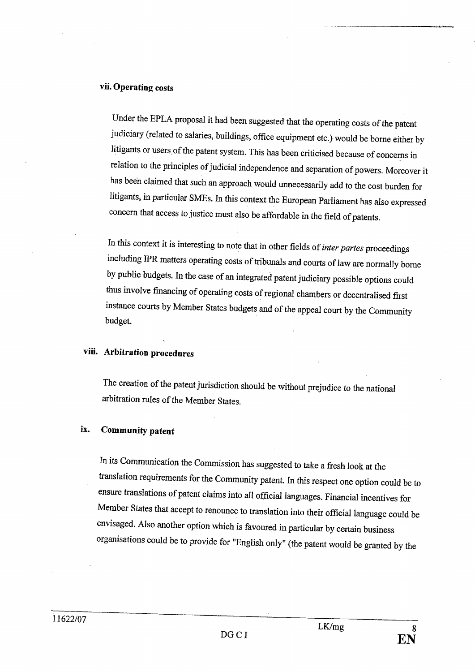#### vii. Operating costs

Under the EPLA proposal it had been suggested that the operating costs of the patent judiciary (related to salaries, buildings, office equipment etc.) would be borne either by litigants or users. of the patent system. This has been criticised because of concenns in relation to the principles of judicial independence and separation of powers. Moreover it has been claimed that such an approach would unnecessarily add to the cost burden for litigants, in paricular SMEs. In this context the European Parliament has also expressed concern that access to justice must also be affordable in the field of patents.

In this context it is interesting to note that in other fields of *inter partes* proceedings including IPR matters operating costs of tribunals and courts of law are normally borne by public budgets. In the case of an integrated patent judiciary possible options could thus involve financing of operating costs of regional chambers or decentralised first instance cours by Member States budgets and of the appeal cour by the Community budget.

#### viii. Arbitration procedures

The creation of the patent jurisdiction should be without prejudice to the national arbitration rules of the Member States.

#### ix. Community patent

In its Communication the Commission has suggested to take a fresh look at the translation requirements for the Community patent. In this respect one option could be to ensure translations of patent claims into all official languages. Financial incentives for Member States that accept to renounce to translation into their official language could be envisaged. Also another option which is favoured in paricular by certain business organisations could be to provide for "English only" (the patent would be granted by the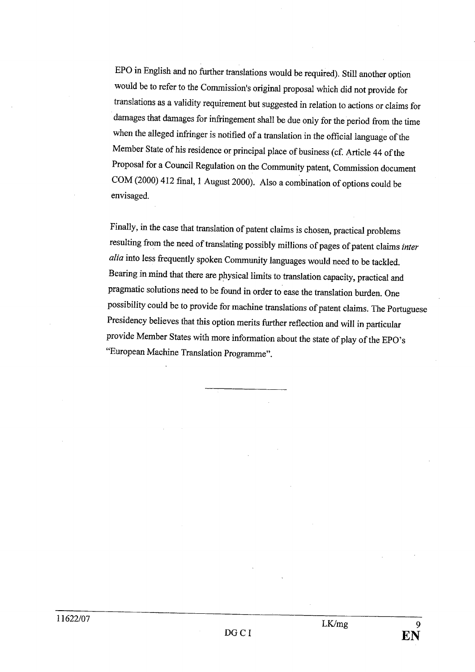EPO in English and no further translations would be required). Still another option would be to refer to the Commission's original proposal which did not provide for translations as a validity requirement but suggested in relation to actions or claims for damages that damages for infringement shall be due only for the period from the time when the alleged infringer is notified of a translation in the official language of the Member State of his residence or principal place of business (cf. Article 44 of the Proposal for a Council Regulation on the Community patent, Commission document COM (2000) 412 final, 1 August 2000). Also a combination of options could be envisaged.

Finally, in the case that translation of patent claims is chosen, practical problems resulting from the need of translating possibly millions of pages of patent claims inter alia into less frequently spoken Community languages would need to be tackled. Bearing in mind that there are physical limts to translation capacity, practical and pragmatic solutions need to be found in order to ease the translation burden. One possibilty could be to provide for machine translations of patent claims. The Portuguese Presidency believes that this option merits further reflection and will in particular provide intermeter States with more information about the state of play of the EPO's "European Machine Translation Programme".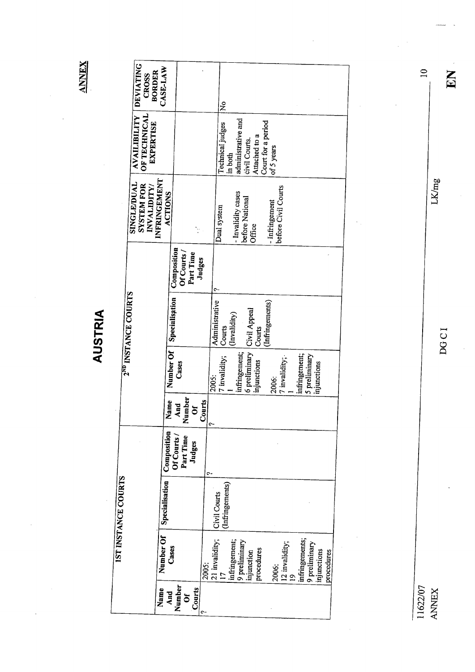**ANNEX** 

AUSTRIA

|                     | <b>DEVIATING</b><br><b>CROSS</b>                 | CASE-LAW<br><b>BORDER</b>      |                                                   |        | ż                               |                                                                 |                                           |                                                |            |
|---------------------|--------------------------------------------------|--------------------------------|---------------------------------------------------|--------|---------------------------------|-----------------------------------------------------------------|-------------------------------------------|------------------------------------------------|------------|
|                     | OF TECHNICAL<br>AVAILIBILITY<br><b>EXPERTISE</b> |                                |                                                   |        | Technical judges                | administrative and<br>Attached to a<br>civil Courts.<br>in both | Court for a period<br>of 5 years          |                                                |            |
|                     | SINGLE/DUAL<br><b>SYSTEM FOR</b><br>INVALIDITY/  | INFRINGEMENT<br><b>ACTIONS</b> |                                                   |        | Dual system                     | - Invalidity cases<br>before National<br><b>Office</b>          | before Civil Courts<br>- Infringement     |                                                |            |
|                     |                                                  |                                | Composition<br>Of Courts /<br>Part Time<br>Judges |        |                                 |                                                                 |                                           |                                                |            |
|                     | 2 <sup>ND</sup> INSTANCE COURTS                  |                                | Specialisation                                    |        | Administrative<br>Courts        | (Invalidity)<br>Courts                                          | (Infringements)                           |                                                |            |
|                     |                                                  |                                | Number Of<br>Cases                                | 2005:  | 7 invalidity;                   | 6 preliminary Civil Appeal<br>infringement;<br>injunctions      | 7 invalidity;<br>2006:                    | infringement;<br>5 preliminary<br>injunctions  |            |
|                     |                                                  |                                | Number<br>Name<br>ъ<br>$\mathbf{A}$ n<br>Ő        | Courts |                                 |                                                                 |                                           |                                                |            |
|                     |                                                  | Composition                    | Of Courts /<br>Part Time<br>Judges                | ᠭ      |                                 |                                                                 |                                           |                                                |            |
| IST INSTANCE COURTS |                                                  | Specialisation                 |                                                   |        | (Infringements)<br>Civil Courts |                                                                 |                                           |                                                |            |
|                     |                                                  | Number Of                      | Cases                                             | 2005:  | 21 invalidity;                  | infringement;<br>9 preliminary<br>procedures<br>injunction      | 12 invalidity;<br>2006:<br>$\overline{a}$ | infringements;<br>9 preliminary<br>injunctions | procedures |
|                     |                                                  | Name                           | Number<br>Courts<br>And<br>$\delta$               | c      |                                 |                                                                 |                                           |                                                |            |

 $\frac{1162207}{\text{ANWEX}}$ 

DGCI

LK/mg

EN

 $\overline{a}$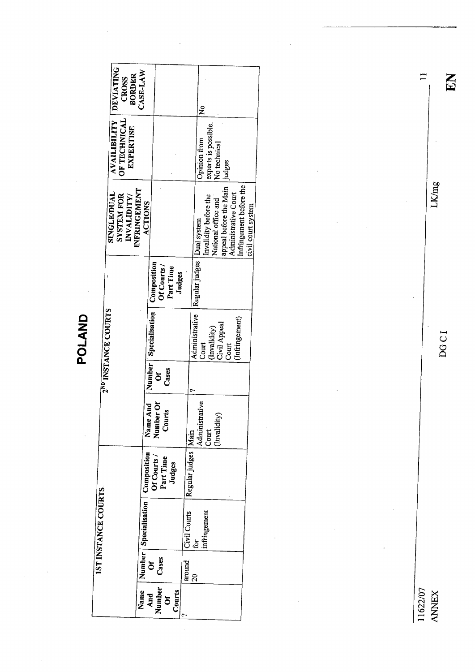|                                 | <b>DEVIATING</b><br><b>BORDER</b><br><b>CROSS</b>       | CASE-LAW                       |                         |                          |        |                       | ž                            |                                              |                        |                                                 |                    |
|---------------------------------|---------------------------------------------------------|--------------------------------|-------------------------|--------------------------|--------|-----------------------|------------------------------|----------------------------------------------|------------------------|-------------------------------------------------|--------------------|
|                                 | <b>AVAILIBILITY</b><br>OF TECHNICAL<br><b>EXPERTISE</b> |                                |                         |                          |        |                       | Opinion from                 | experts is possible.<br>No technical         | judges                 |                                                 |                    |
|                                 | SINGLE/DUAL<br><b>SYSTEM FOR</b><br>INVALIDITY/         | INFRINGEMENT<br><b>ACTIONS</b> |                         |                          |        |                       |                              | Invalidity before the<br>National office and | appeal before the Main | Infringement before the<br>Administrative Court | civil court system |
|                                 |                                                         |                                | Composition             | Of Courts /<br>Part Time | Judges |                       | Regular judges   Dual system |                                              |                        |                                                 |                    |
| 2 <sup>ND</sup> INSTANCE COURTS |                                                         |                                | Number   Specialisation |                          |        |                       | Administrative<br>Court      | (Invalidity)                                 | Civil Appeal<br>Court  | (Infringement)                                  |                    |
|                                 |                                                         |                                | ້ວັ                     | Cases                    |        |                       |                              |                                              |                        |                                                 |                    |
|                                 |                                                         |                                | Name And<br>Number Of   | Courts                   |        |                       | Administrative               | (Invalidity)<br>Court                        |                        |                                                 |                    |
|                                 |                                                         | Composition                    | Of Courts /             | Part Time<br>Judges      |        | Regular judges   Main |                              |                                              |                        |                                                 |                    |
| IST INSTANCE COURTS             |                                                         | Number   Specialisation        |                         |                          |        | Civil Courts          | .<br>قا                      | infringement                                 |                        |                                                 |                    |
|                                 |                                                         |                                | ර<br>උ <sub>යිසෙ</sub>  |                          |        | around                | ຊ                            |                                              |                        |                                                 |                    |
|                                 |                                                         | Name                           | Number<br>And           | Courts<br>ðf             |        |                       |                              |                                              |                        |                                                 |                    |

11622/07 ANEX

 $\ddot{\phantom{a}}$ 

11

EN

 $\overline{\phantom{a}}$ 

DOC I

l,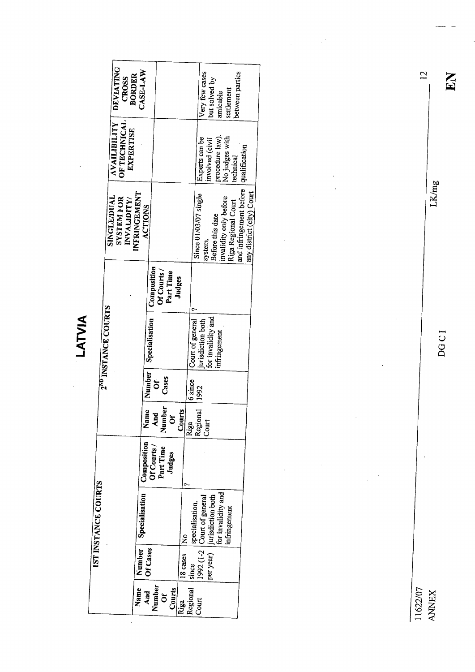LATVIA

 $\ddot{\phantom{a}}$ 

l,

|                     | <b>DEVIATING</b><br><b>BORDER</b><br><b>CROSS</b>       | CASE-LAW                              |                                         |          |                  | Very few cases                   | but solved by<br>amicable               | settlement                                    | between parties                         |                           |
|---------------------|---------------------------------------------------------|---------------------------------------|-----------------------------------------|----------|------------------|----------------------------------|-----------------------------------------|-----------------------------------------------|-----------------------------------------|---------------------------|
|                     | <b>AVAILIBILITY</b><br>OF TECHNICAL<br><b>EXPERTISE</b> |                                       |                                         |          |                  | Experts can be                   | procedure law).<br>involved (civil      | No judges with<br>cechnical                   |                                         |                           |
|                     | SINGLE/DUAL<br><b>SYSTEM FOR</b><br>INVALIDITY/         | <b>INFRINGEMENT</b><br><b>ACTIONS</b> |                                         |          |                  | Since 01/03/07 single<br>system. | Before this date                        | invalidity only before<br>Riga Regional Court | and infringement before   qualification | any district (city) Court |
|                     |                                                         |                                       | Composition<br>Of Courts /<br>Part Time | Judges   |                  |                                  |                                         |                                               |                                         |                           |
| 2ND INSTANCE COURTS |                                                         | Specialisation                        |                                         |          | Court of general | jurisdiction both                | for invalidity and<br>infringement      |                                               |                                         |                           |
|                     |                                                         | Number                                | Cases<br>້ວັ                            |          | 6 since          | 1992                             |                                         |                                               |                                         |                           |
|                     |                                                         | lme<br>Σ                              | Number<br>And<br>$\delta$               | Courts   | Riga<br>Regional | $C$ ourt                         |                                         |                                               |                                         |                           |
|                     |                                                         | Composition<br>Of Courts /            | Part Time<br>Judges                     |          |                  |                                  |                                         |                                               |                                         |                           |
| IST INSTANCE COURTS |                                                         | Specialisation                        |                                         | ž        | specialisation.  | 1992 $(1-2)$ Court of general    | jurisdiction both<br>for invalidity and | infringement                                  |                                         |                           |
|                     |                                                         | Number<br>Of Cases                    |                                         | 18 cases | since            |                                  | per year)                               |                                               |                                         |                           |
|                     |                                                         | Name<br>And                           | Number<br>Courts<br>ðf                  | Riga     | Regional         | Court                            |                                         |                                               |                                         |                           |

i i 622/07 ANNEX

 $\frac{1}{2}$ 

DOC I

LK/mg

12

 $\hat{\boldsymbol{\theta}}$ 

i.

 $\frac{1}{2}$ 

EN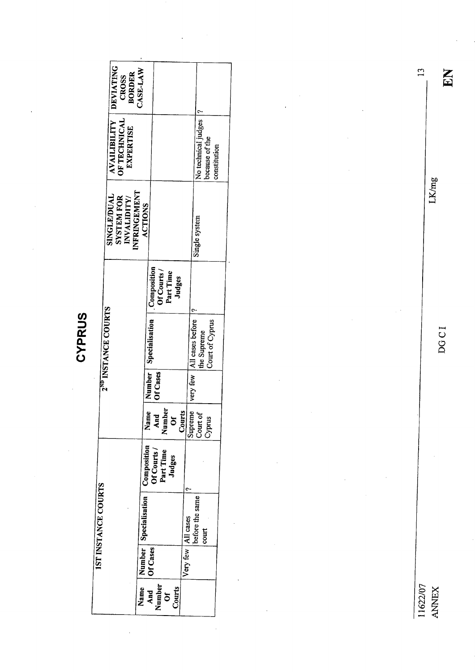| U, |
|----|
|    |
|    |
|    |
|    |
|    |

|                                 | DEVIATING<br><b>CROSS<br/>BORDER</b>                                   | CASE-LAW                |                                                   |                      |                                                               |  |
|---------------------------------|------------------------------------------------------------------------|-------------------------|---------------------------------------------------|----------------------|---------------------------------------------------------------|--|
|                                 |                                                                        |                         |                                                   |                      |                                                               |  |
|                                 | <b>AVAILIBILITY</b><br>OF TECHNICAL<br><b>EXPERTISE</b>                |                         |                                                   |                      | No technical judges  ?<br>because of the<br>constitution      |  |
|                                 | <b>INFRINGEMENT</b><br>SINGLE/DUAL<br><b>SYSTEM FOR</b><br>INVALIDITY/ | <b>ACTIONS</b>          |                                                   |                      | Single system                                                 |  |
|                                 |                                                                        |                         | Composition<br>Of Courts /<br>Part Time<br>Judges |                      |                                                               |  |
| 2 <sup>ND</sup> INSTANCE COURTS |                                                                        |                         | Specialisation                                    |                      | very few   All cases before<br>Court of Cyprus<br>the Supreme |  |
|                                 |                                                                        |                         | Number  <br>Of Cases                              |                      |                                                               |  |
|                                 |                                                                        |                         | ģ<br>Nam<br>And<br>Numb<br>or<br>Court            | Supreme              | Court of<br>Cyprus                                            |  |
|                                 |                                                                        | Composition             | Of Courts /<br>Part Time<br>Judges                |                      |                                                               |  |
| <b>1ST INSTANCE COURTS</b>      |                                                                        | Number   Specialisation |                                                   |                      | before the same<br>court                                      |  |
|                                 |                                                                        |                         | Of Cases                                          | Very few   All cases |                                                               |  |
|                                 |                                                                        | Name                    | And<br>Number<br>Courts<br>$\vec{0}$              |                      |                                                               |  |

 $\frac{11622/07}{\text{ANWEX}}$ 

**DGCI** 

EN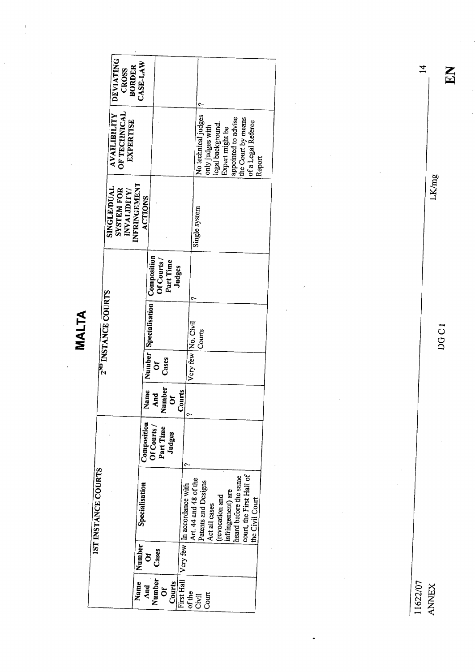|                                 | <b>DEVIATING</b><br><b>BORDER</b><br>CROSS              | CASE-LAW                       |                                                   |                                          |                                                               |                                      |                                                                      |        |
|---------------------------------|---------------------------------------------------------|--------------------------------|---------------------------------------------------|------------------------------------------|---------------------------------------------------------------|--------------------------------------|----------------------------------------------------------------------|--------|
|                                 | AVAILIBILITY<br><b>OF TECHNICAL</b><br><b>EXPERTISE</b> |                                |                                                   |                                          | No technical judges<br>only judges with                       | legal background.<br>Expert might be | appointed to advise<br>the Court by means<br>of a Legal Referee      | Report |
|                                 | SINGLE/DUAL<br><b>SYSTEM FOR</b><br>INVALIDITY/         | INFRINGEMENT<br><b>ACTIONS</b> |                                                   |                                          | Single system                                                 |                                      |                                                                      |        |
|                                 |                                                         |                                | Composition<br>Of Courts /<br>Part Time<br>Judges |                                          |                                                               |                                      |                                                                      |        |
| 2 <sup>ND</sup> INSTANCE COURTS |                                                         |                                | Number   Specialisation                           |                                          | Very few   No. Civil<br>Courts                                |                                      |                                                                      |        |
|                                 |                                                         |                                | Cases<br>ŏ                                        |                                          |                                                               |                                      |                                                                      |        |
|                                 |                                                         | Name                           | Number<br>And<br>ŏ                                | Courts<br>۰                              |                                                               |                                      |                                                                      |        |
|                                 |                                                         | Composition                    | Part Time<br><b>Df Courts</b><br>Judges           | c                                        |                                                               |                                      |                                                                      |        |
| IST INSTANCE COURTS             |                                                         | Specialisation                 |                                                   | First Hall Very few   In accordance with | Art. 44 and 48 of the<br>Patents and Designs<br>Act all cases | infringement) are<br>(revocation and | court, the First Hall of<br>heard before the same<br>the Civil Court |        |
|                                 |                                                         | Number                         | Cases<br>ð                                        |                                          |                                                               |                                      |                                                                      |        |
|                                 |                                                         | Name<br>And                    | Number<br>Courts<br>ð                             |                                          | of the<br>Civil<br>Court                                      |                                      |                                                                      |        |

MALTA

11622/07 ANNEX

J.

DOC I

LK/mg

EN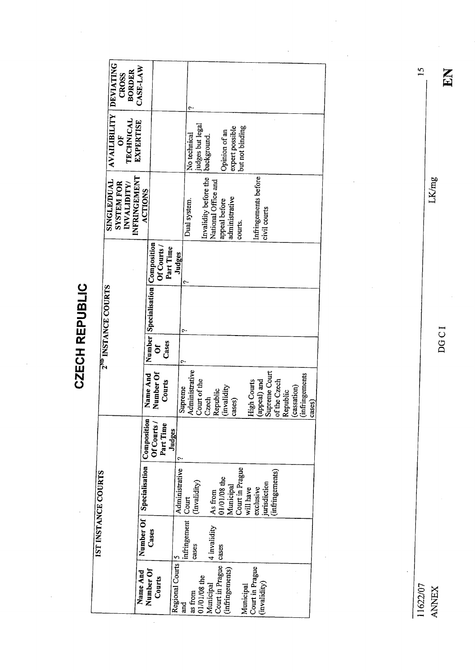**CZECH REPUBLIC** 

DEVIATING **BORDER**<br>CASE-LAW **CROSS AVAILIBILITY TECHNICAL EXPERTISE** judges but legal<br>background. expert possible<br>but not binding Opinion of an No technical ðF NFRINGEMENT Invalidity before the Infringements before National Office and **SINGLE/DUAL SYSTEM FOR** INVALIDITY/ **ACTIONS** administrative Dual system. appeal before civil courts courts. Number Specialisation Composition Of Courts / Part Time Judges 2<sup>ND</sup> INSTANCE COURTS Cases  $\delta$ Administrative Supreme Court Name And *infringements* Number Of Courts Court of the High Courts of the Czech (appeal) and (cassation) Supreme (invalidity Republic Republic Czech cases) cases) Number Of Specialisation Composition Of Courts / Part Time Judges Municipal<br>Court in Prague Administrative infringements) **IST INSTANCE COURTS**  $\begin{array}{c}\nA s \text{ from} \\
01/01/08 \text{ the}\n\end{array}$ (Invalidity) jurisdiction will have exclusive Court infringement 4 invalidity Cases cases Court in Prague | cases Regional Courts 5 Court in Prague (infringements) Number Of Name And Courts 01/01/08 the (invalidity) Municipal Municipal as from and

11622/07 **ANNEX** 

DGCI

LKmg

EN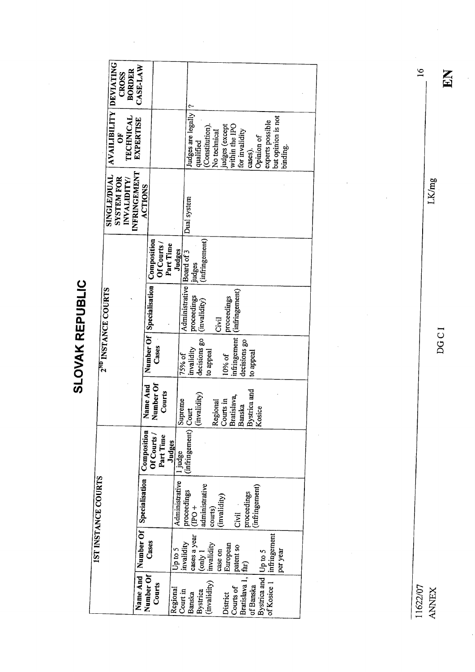**SLOVAK REPUBLIC** SLOVAK REPUBLIC

 $\frac{1}{2}$ 

 $\ddot{\phantom{0}}$ 

| CASE-LAW<br><b>BORDER</b><br><b>CROSS</b>                       |                                                     |                                                                                                                                                                                                        |  |
|-----------------------------------------------------------------|-----------------------------------------------------|--------------------------------------------------------------------------------------------------------------------------------------------------------------------------------------------------------|--|
|                                                                 |                                                     |                                                                                                                                                                                                        |  |
| AVAILIBILITY DEVIATING<br>TECHNICAL<br><b>EXPERTISE</b><br>ð    |                                                     | Judges are legally<br>but opinion is not<br>experts possible<br>judges (except<br>within the IPO<br>(Constitution)<br>for invalidity<br>No technical<br>Opinion of<br>qualified<br>binding.<br>cases). |  |
| INFRINGEMENT<br>SINGLE/DUAL<br><b>SYSTEM FOR</b><br>INVALIDITY/ | ACTIONS                                             | Dual system                                                                                                                                                                                            |  |
|                                                                 | Of Courts /<br>Part Time                            | (infringement)<br>Judges<br>judges                                                                                                                                                                     |  |
| 2 <sup>ND</sup> INSTANCE COURTS                                 | Number Of   Specialisation   Composition            | Administrative   Board of 3<br>(infringement)<br>proceedings<br>proceedings<br>(invalidity)<br>Civil                                                                                                   |  |
|                                                                 | Cases                                               | infringement<br>decisions go<br>decisions go<br>invalidity<br>to appeal<br>to appeal<br>10% of<br>75% of                                                                                               |  |
|                                                                 | Number Of<br>Name And<br>Courts                     | Bystrica and<br>Bratislava,<br>$\overline{Cours}$ in<br>Supreme<br>Regional<br>Banska<br>Kosice                                                                                                        |  |
|                                                                 | Of Courts /<br>Part Time                            | $\frac{\text{(infringement)}}{\text{(invalidity)}}$<br>Judges<br>1 judge                                                                                                                               |  |
| <b>IST INSTANCE COURTS</b>                                      | Name And   Number Of   Specialisation   Composition | Administrative<br>administrative<br>(infringement)<br>$\begin{array}{c} \boxed{\text{proceedings}}\\ \text{(IPO +} \end{array}$<br>proceedings<br>(invalidity)<br>courts)<br>Civil                     |  |
|                                                                 | Cases                                               | By<br>strica and $ Up$ to 5<br>of Kosice 1 $ $ infringement<br>cases a year<br>invalidity<br>only 1<br>invalidity<br>European<br>patent so<br>Up to 5<br>case on<br>per year<br>far)                   |  |
|                                                                 | Number Of<br>Courts                                 | (Bratislava 1,  t)<br>(invalidity)<br>of Banska<br>Courts of<br>Regional<br><b>Bystrica</b><br>Court in<br>Banska<br>District                                                                          |  |

LK/mg

 $\frac{1}{2}$ 

16

EN

DOC I

11622/07 ANNEX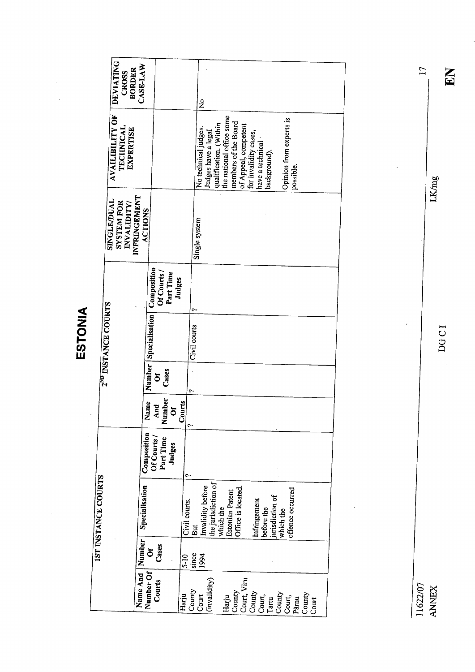|                     | <b>DEVIATING</b><br>CROSS                | CASE-LAW<br><b>BORDER</b> |                              |                          |          |               |               | ż                                           |                                                    |                                |                                               |              |                                  |                         |                                                       |       |  |
|---------------------|------------------------------------------|---------------------------|------------------------------|--------------------------|----------|---------------|---------------|---------------------------------------------|----------------------------------------------------|--------------------------------|-----------------------------------------------|--------------|----------------------------------|-------------------------|-------------------------------------------------------|-------|--|
|                     | AVAILIBILITY OF<br><b>TECHNICAL</b>      | <b>EXPERTISE</b>          |                              |                          |          |               |               | No technical judges.<br>Judges have a legal | qualification. (Within<br>the national office some | members of the Board           | of Appeal, competent<br>for invalidity cases, |              | have a technical<br>background). | Opinion from experts is | possible.                                             |       |  |
|                     | SINGLE/DUAL<br>SYSTEM FOR<br>INVALIDITY/ | INFRINGEMENT              | ACTIONS                      |                          |          |               | Single system |                                             |                                                    |                                |                                               |              |                                  |                         |                                                       |       |  |
|                     |                                          |                           |                              | Of Courts /<br>Part Time | Judges   |               | c             |                                             |                                                    |                                |                                               |              |                                  |                         |                                                       |       |  |
|                     | 2 <sup>ND</sup> INSTANCE COURTS          |                           | Specialisation   Composition |                          |          |               | Civil courts  |                                             |                                                    |                                |                                               |              |                                  |                         |                                                       |       |  |
|                     |                                          |                           | Number                       | Cases<br>ð               |          |               | ᠭ             |                                             |                                                    |                                |                                               |              |                                  |                         |                                                       |       |  |
|                     |                                          |                           | Vame                         | Number<br>And            | $\delta$ | Courts<br>Ç.  |               |                                             |                                                    |                                |                                               |              |                                  |                         |                                                       |       |  |
|                     |                                          |                           | Composition<br>Of Courts     | Part Time                | Judges   | c             |               |                                             |                                                    |                                |                                               |              |                                  |                         |                                                       |       |  |
| IST INSTANCE COURTS |                                          |                           | Specialisation               |                          |          | Civil courts. | But           | Invalidity before                           | Estonian Patent<br>which the                       | Office is located.             |                                               | Infringement | before the<br>jurisdiction of    | which the               | offence occurred                                      |       |  |
|                     |                                          |                           | Number<br>ð                  | Cases                    |          | $5-10$        | since         | 1994                                        |                                                    |                                |                                               |              |                                  |                         |                                                       |       |  |
|                     |                                          | Name And                  | Number Of                    | Courts                   |          | Harju         | County        | (invalidity)<br>Court                       |                                                    | Harju<br>County<br>Court, Viru |                                               | County       |                                  |                         | Court,<br>Tartu brown,<br>Court,<br>Parmuty<br>Courty | Court |  |

 $\hat{\boldsymbol{\beta}}$ 

ESTONIA

 $\hat{\boldsymbol{\beta}}$ 

 $\ddot{\phantom{a}}$ 

11622/07 ANEX

DGCI

LK/mg

 $\ddot{\phantom{a}}$ 

 $\ddot{\phantom{a}}$ 

EN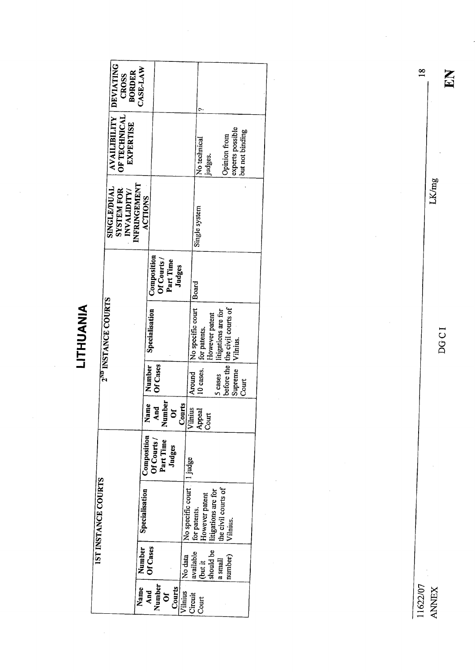LITHUANIA

 $\bar{z}$ 

|                            | <b>DEVIATING</b><br><b>BORDER</b><br><b>CROSS</b>             | CASE-LAW                              |                                                   |                                                          | с                 |                                       |                                                         |                                     |  |
|----------------------------|---------------------------------------------------------------|---------------------------------------|---------------------------------------------------|----------------------------------------------------------|-------------------|---------------------------------------|---------------------------------------------------------|-------------------------------------|--|
|                            | <b>AVAILIBILITY</b><br>OF TECHNICAL<br><b>EXPERTISE</b>       |                                       |                                                   |                                                          | No technical      | judges.                               | Opinion from                                            | experts possible<br>but not binding |  |
|                            | <b>SINGLE/DUAL</b><br><b>SYSTEM FOR</b><br><b>INVALIDITY/</b> | <b>INFRINGEMENT</b><br><b>ACTIONS</b> |                                                   |                                                          | Single system     |                                       |                                                         |                                     |  |
|                            |                                                               |                                       | Composition<br>Of Courts /<br>Part Time<br>Judges |                                                          | Board             |                                       |                                                         |                                     |  |
|                            | 2 <sup>ND</sup> INSTANCE COURTS                               |                                       | Specialisation                                    |                                                          | No specific court | However patent<br>for patents.        | before the   the civil courts of<br>litigations are for | Vilnius.                            |  |
|                            |                                                               |                                       | Number<br>Of Cases                                |                                                          | Around            | 10 cases.                             | 5 cases                                                 | Supreme<br>Court                    |  |
|                            |                                                               | Vame                                  | Number<br>And<br>ð                                | $\frac{ {{\rm \textbf{Cours}}}}{{\rm \textbf{Vilnius}}}$ | beal              | Court<br>Ąpp                          |                                                         |                                     |  |
|                            |                                                               | Composition                           | Of Courts /<br>Part Time<br>Judges                |                                                          |                   |                                       |                                                         |                                     |  |
| <b>IST INSTANCE COURTS</b> |                                                               | Specialisation                        |                                                   | No specific court   1 judge                              | for patents.      | litigations are for<br>However patent | the civil courts of<br>Vilnius.                         |                                     |  |
|                            |                                                               | Number                                | Of Cases                                          | No data                                                  | available         | should be<br>(but it                  | number)<br>a small                                      |                                     |  |
|                            |                                                               | Name                                  | Number<br>Courts<br>And<br>ð                      | Vilnius                                                  | Circuit           | Court                                 |                                                         |                                     |  |

 $\frac{1}{2}$ 

11622/07 ANNX

DOC I

LK/mg

 $\ddot{\phantom{0}}$ 

18

EN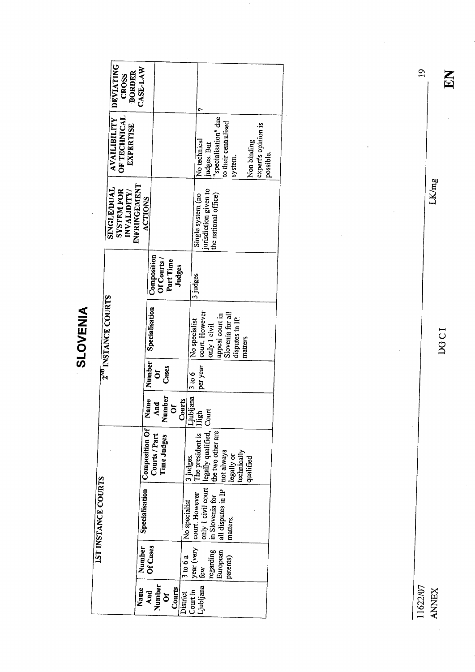SLOVENIA

|                            | <b>DEVIATING</b><br><b>BORDER</b><br><b>CROSS</b>              | CASE-LAW                       |                                                          |               |                                                                                                          |                                                 |
|----------------------------|----------------------------------------------------------------|--------------------------------|----------------------------------------------------------|---------------|----------------------------------------------------------------------------------------------------------|-------------------------------------------------|
|                            | <b>AVAILIBILITY</b><br><b>OF TECHNICAL</b><br><b>EXPERTISE</b> |                                |                                                          |               | judges. But<br>"specialisation" due<br>to their centralised<br>No technical<br>system.                   | expert's opinion is<br>Non binding<br>possible. |
|                            | SINGLE/DUAL<br><b>SYSTEM FOR</b><br>INVALIDITY/                | INFRINGEMENT<br><b>ACTIONS</b> |                                                          |               | jurisdiction given to<br>Single system (no<br>the national office)                                       |                                                 |
|                            |                                                                |                                | Composition<br>Of Courts /<br>Part Time<br><b>Judges</b> |               | 3 judges                                                                                                 |                                                 |
|                            | 2 <sup>ND</sup> INSTANCE COURTS                                |                                | Specialisation                                           |               | court. However<br>Slovenia for all<br>appeal court in<br>disputes in IP<br>No specialist<br>only 1 civil | matters                                         |
|                            |                                                                |                                | Number<br>Cases<br>ð                                     |               | per year<br>3 to 6                                                                                       |                                                 |
|                            |                                                                | Name                           | <b>Number</b><br>And<br>$\delta$                         | Courts        | المقاطب<br>High  -<br>High  -<br><b>Court</b>                                                            |                                                 |
|                            |                                                                | Composition Of                 | Courts / Part<br>Time Judges                             | 3 judges.     | legally qualified,<br>The president is<br>the two other are<br>not always<br>technically<br>legally or   | qualified                                       |
| <b>IST INSTANCE COURTS</b> |                                                                | Specialisation                 |                                                          | No specialist | only 1 civil court<br>all disputes in IP<br>court. However<br>in Slovenia for<br>matters.                |                                                 |
|                            |                                                                | Number                         | Of Cases                                                 | 3 to 6a       | year (very<br>regarding<br>European<br>patents)<br>ر<br>هم                                               |                                                 |
|                            |                                                                | Name                           | Number<br>Courts<br>And<br>ð                             | District      | Ljubljana<br>Court in                                                                                    |                                                 |

 $\overline{\phantom{a}}$ 

11622/07<br>ANNEX<br>ANNEX

**DGCI** 

 $\bar{\bar{z}}$ 

DOCI DO CI

EN

LK/mg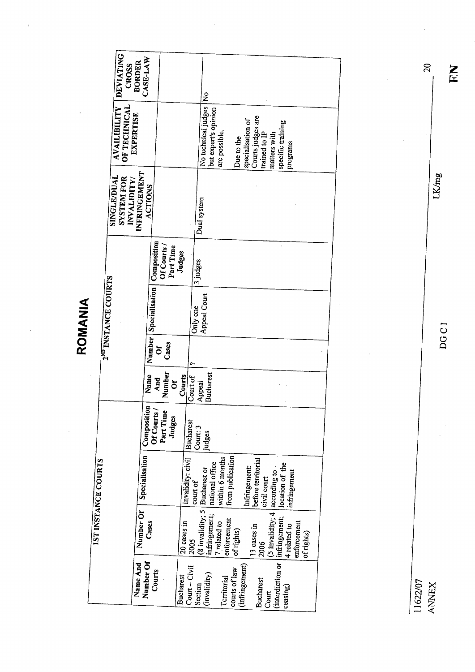ROMANIA

 $\cdot$ 

|                                 | <b>DEVIATING</b><br><b>CROSS<br/>BORDER</b>                     | CASE-LAW                                          |                                    | ż                                              |                                                        |                                                                                              |                                           |  |
|---------------------------------|-----------------------------------------------------------------|---------------------------------------------------|------------------------------------|------------------------------------------------|--------------------------------------------------------|----------------------------------------------------------------------------------------------|-------------------------------------------|--|
|                                 | OF TECHNICAL<br><b>AVAILIBILITY</b><br><b>EXPERTISE</b>         |                                                   |                                    | No technical judges<br>but expert's opinion    | are possible.<br>Due to the                            | Courts judges are<br>specialisation of<br>specific training<br>trained to IP<br>matters with | programs                                  |  |
|                                 | INFRINGEMENT<br>SINGLE/DUAL<br><b>SYSTEM FOR</b><br>INVALIDITY/ | <b>ACTIONS</b>                                    |                                    | Dual system                                    |                                                        |                                                                                              |                                           |  |
|                                 |                                                                 | Composition<br>Of Courts /<br>Part Time           | Judges                             | 3 judges                                       |                                                        |                                                                                              |                                           |  |
| 2 <sup>ND</sup> INSTANCE COURTS |                                                                 | Number Specialisation                             |                                    | Appeal Court<br>Only one                       |                                                        |                                                                                              |                                           |  |
|                                 |                                                                 | Cases<br>$\delta$                                 | ç.                                 |                                                |                                                        |                                                                                              |                                           |  |
|                                 |                                                                 | Number<br>Name<br>And<br>$\delta$                 | Courts<br>Court of                 | <b>Bucharest</b><br>Appeal                     |                                                        |                                                                                              |                                           |  |
|                                 |                                                                 | Composition<br>Of Courts /<br>Part Time<br>Judges | <b>Bucharest</b>                   | Court: 3<br>judges                             |                                                        |                                                                                              |                                           |  |
| <b>IST INSTANCE COURTS</b>      |                                                                 | Specialisation                                    | Invalidity: civil                  | court of                                       | national office<br>within 6 months<br>from publication | before territorial<br>location of the<br>Infringement:<br>civil court                        | infringement                              |  |
|                                 |                                                                 | Number Of<br>Cases                                | 20 cases in<br>12005               | (8 invalidity; 5 Bucharest or<br>infringement; | enforcement<br>7 related to<br>of rights)              | (5 invalidity; 4 according to<br>13 cases in<br>2006                                         | enforcement<br>4 related to<br>of rights) |  |
|                                 | Name And                                                        | Number Of<br>Courts                               | $Cour - Civil$<br><b>Bucharest</b> | (invalidity)<br>Section                        | (infringement)<br>courts of law<br>Territorial         | (interdiction or   infringement;<br><b>Bucharest</b><br>Court                                | ceasing)                                  |  |

11622/07<br>ANNEX

 $\begin{array}{ccc}\n\text{ANLEX} & \text{DGCT} & \text{LK/mg} & \text{LK/mg} & \text{LK/mg}\n\end{array}$ DOC I

LK/mg

EN.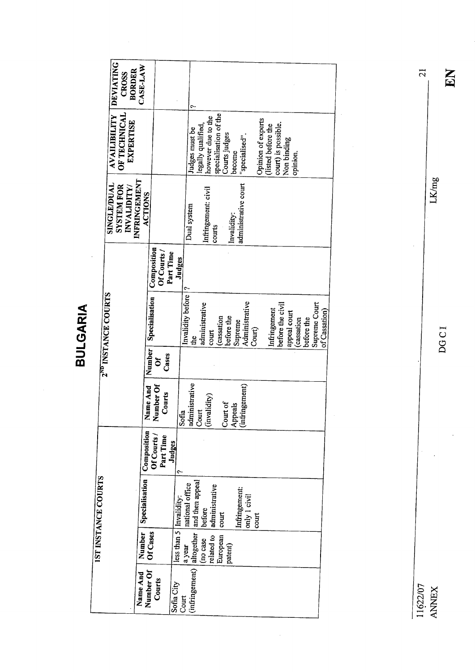BULGARIA

|                     | <b>DEVIATING</b><br><b>BORDER</b><br>CROSS             | CASE-LAW                                |                           |                                    |                                          |                                        |                                                                                                   |                                          |                                    |                            |            |                                |
|---------------------|--------------------------------------------------------|-----------------------------------------|---------------------------|------------------------------------|------------------------------------------|----------------------------------------|---------------------------------------------------------------------------------------------------|------------------------------------------|------------------------------------|----------------------------|------------|--------------------------------|
|                     | AVAILIBILITY<br>OF TECHNICAL<br><b>EXPERTISE</b>       |                                         |                           | Judges must be                     | however due to the<br>legally qualified, | specialisation of the<br>Courts judges | "specialised".<br>become                                                                          | Opinion of experts<br>(listed before the | court) is possible.<br>Non binding | opinion.                   |            |                                |
|                     | SINGLE/DUAL<br><b>SYSTEM FOR</b><br><b>INVALIDITY/</b> | INFRINGEMENT<br>ACTIONS                 |                           | Dual system                        | Infringement: civil<br>courts            | Invalidity:                            | administrative court                                                                              |                                          |                                    |                            |            |                                |
|                     |                                                        | Composition<br>Of Courts /              | Part Time<br>Judges       |                                    |                                          |                                        |                                                                                                   |                                          |                                    |                            |            |                                |
|                     | 2 <sup>ND</sup> INSTANCE COURTS                        | Specialisation                          |                           | Invalidity before  ?<br>đe         | administrative<br>court                  | before the<br>(cassation               | Administrative<br>Supreme                                                                         | Court)                                   | before the civil<br>Infringement   | appeal court<br>(cassation | before the | Supreme Court<br>of Cassation) |
|                     |                                                        | Number  <br>Cases<br>ð                  |                           |                                    |                                          |                                        |                                                                                                   |                                          |                                    |                            |            |                                |
|                     |                                                        | Name And<br>Number Of<br>Courts         | Sofia                     | administrative                     | Court<br>(invalidity)                    | Court of                               | $\begin{array}{c} \left  \text{Appcals} \right. \\ \left( \text{infingement} \right) \end{array}$ |                                          |                                    |                            |            |                                |
|                     |                                                        | Composition<br>Of Courts /<br>Part Time | Judges<br>۰               |                                    |                                          |                                        |                                                                                                   |                                          |                                    |                            |            |                                |
| IST INSTANCE COURTS |                                                        | <b>Specialisation</b>                   | less than 5   Invalidity: | and then appeal<br>national office | administrative<br>(before                | court                                  | Infringement:<br>only 1 civil                                                                     | $_{\rm court}$                           |                                    |                            |            |                                |
|                     |                                                        | Number<br>Of Cases                      |                           | a year                             | related to<br>(no case                   | European<br>patent)                    |                                                                                                   |                                          |                                    |                            |            |                                |
|                     |                                                        | Name And<br>Number Of<br>Courts         | Sofia City<br>Court       | (infringement) altogether          |                                          |                                        |                                                                                                   |                                          |                                    |                            |            |                                |

 $\bar{\beta}$ 

 $LKmg$ 

 $\frac{1}{2}$ 

21

EN

DOC I

11622/07 ANNEX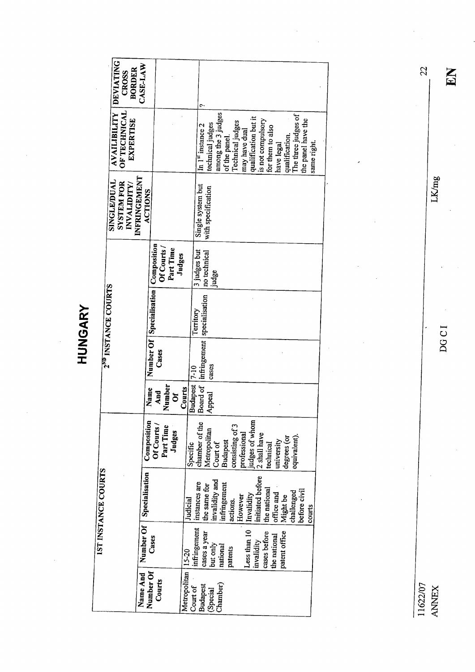|                                 | <b>DEVIATING</b><br><b>BORDER</b><br><b>CROSS</b>       | CASE-LAW                       |                            |                     |                           |                                                                           |                                |                    |                 |                  |               |                                                                                                     |                                                                                              |              |                |                     |                        |             |
|---------------------------------|---------------------------------------------------------|--------------------------------|----------------------------|---------------------|---------------------------|---------------------------------------------------------------------------|--------------------------------|--------------------|-----------------|------------------|---------------|-----------------------------------------------------------------------------------------------------|----------------------------------------------------------------------------------------------|--------------|----------------|---------------------|------------------------|-------------|
|                                 | OF TECHNICAL<br><b>AVAILIBILITY</b><br><b>EXPERTISE</b> |                                |                            |                     |                           | $\overline{\ln}$ 1 <sup>st</sup> instance 2                               | technical judges               | among the 3 judges | of the panel.   | Technical judges | may have dual | qualification but it                                                                                | is not compulsory<br>for them to also                                                        | have legal   | qualification. | The three judges of | the panel have the     | same right. |
|                                 | SINGLE/DUAL<br><b>SYSTEM FOR</b><br>INVALIDITY/         | INFRINGEMENT<br><b>ACTIONS</b> |                            |                     |                           | Single system but                                                         | with specification             |                    |                 |                  |               |                                                                                                     |                                                                                              |              |                |                     |                        |             |
|                                 |                                                         |                                | Composition<br>Of Courts / | Part Time<br>Judges |                           | 3 judges but                                                              | no technical<br>judge          |                    |                 |                  |               |                                                                                                     |                                                                                              |              |                |                     |                        |             |
| 2 <sup>ND</sup> INSTANCE COURTS |                                                         |                                | Number Of   Specialisation |                     |                           | infringement   specialisation<br>Territory                                |                                |                    |                 |                  |               |                                                                                                     |                                                                                              |              |                |                     |                        |             |
|                                 |                                                         |                                | Cases                      |                     |                           |                                                                           | cases                          |                    |                 |                  |               |                                                                                                     |                                                                                              |              |                |                     |                        |             |
|                                 |                                                         |                                | Name<br>And                | Number<br>ð         | Budapest   7-10<br>Courts | Board of                                                                  | Appeal                         |                    |                 |                  |               |                                                                                                     |                                                                                              |              |                |                     |                        |             |
|                                 |                                                         | Composition                    | Of Courts /<br>Part Time   | Judges              |                           | $\begin{array}{c}\n\text{Specific} \\ \text{chamber of the}\n\end{array}$ | Metropolitan                   | Court of           | <b>Budapest</b> | consisting of 3  |               | $\begin{bmatrix} \text{professional} \\ \text{judes of whom} \\ 2 \text{ shall have} \end{bmatrix}$ | technical                                                                                    | university   | degrees (or    | equivalent).        |                        |             |
| IST INSTANCE COURTS             |                                                         | Specialisation                 |                            |                     | Judicial                  | instances are                                                             | invalidity and<br>the same for | infringement       | actions.        |                  |               |                                                                                                     | $[Loss that 10 \t\t Invalidityinvalidity \t\t initated beforecases before \t\t the national$ | office and   | Might be       | challenged          | before civil<br>courts |             |
|                                 |                                                         | Number Of                      | Cases                      |                     | $15 - 20$                 | infringement<br>cases a year                                              | but only                       | national           | patents         |                  |               |                                                                                                     | cases before                                                                                 | the national | patent office  |                     |                        |             |
|                                 |                                                         | Name And                       | Number Of<br>Courts        |                     | Metropolitan              | Budapest<br>Court of                                                      | (Special                       | Chamber)           |                 |                  |               |                                                                                                     |                                                                                              |              |                |                     |                        |             |

HUNGARY

11622/07 ANNX

DG C I

LK/mg

EN

22

 $\frac{1}{2}$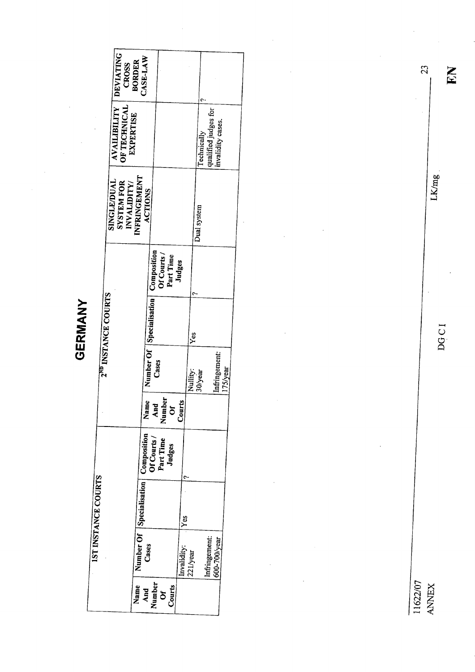| ٠ |
|---|
|   |
|   |
|   |
|   |
|   |
|   |
|   |

| <b>DEVIATING</b><br><b>BORDER</b><br><b>CROSS</b>              | CASE-LAW                                                                                     |                         |                                                         |          |
|----------------------------------------------------------------|----------------------------------------------------------------------------------------------|-------------------------|---------------------------------------------------------|----------|
| <b>AVAILIBILITY</b><br>OF TECHNICAL<br><b>EXPERTISE</b>        |                                                                                              |                         | qualified judges for<br>mvalidity cases.<br>Technically |          |
| NFRINGEMENT<br>SINGLE/DUAL<br><b>SYSTEM FOR</b><br>INVALIDITY/ | <b>ACTIONS</b>                                                                               |                         | Dual system                                             |          |
|                                                                | Composition<br>Of Courts /<br>Part Time                                                      | Judges                  |                                                         |          |
| 2 <sup>ND</sup> INSTANCE COURTS                                | Number Of   Specialisation                                                                   | IYes                    |                                                         |          |
|                                                                | Cases                                                                                        | Nullity:                | Infringement:<br>30/year                                | 175/year |
|                                                                | î,<br>Name<br>And<br>Number<br>Ourts<br>Courts                                               |                         |                                                         |          |
|                                                                | Number Of  Specialisation   Composition<br>Cases    <br>  Of Courts /<br>Part Time<br>Judges |                         |                                                         |          |
| 1ST INSTANCE COURTS                                            |                                                                                              | Yes                     |                                                         |          |
|                                                                |                                                                                              | Invalidity:<br>221/year | Infringement:<br>600-700/уеаг                           |          |
| Name                                                           | Number<br>Courts<br>And<br>$\sigma$                                                          |                         |                                                         |          |

11622/07<br>ANNEX

DGCI

EN

 $\ddot{\phantom{a}}$ 

23

 $LKmg$ 

l,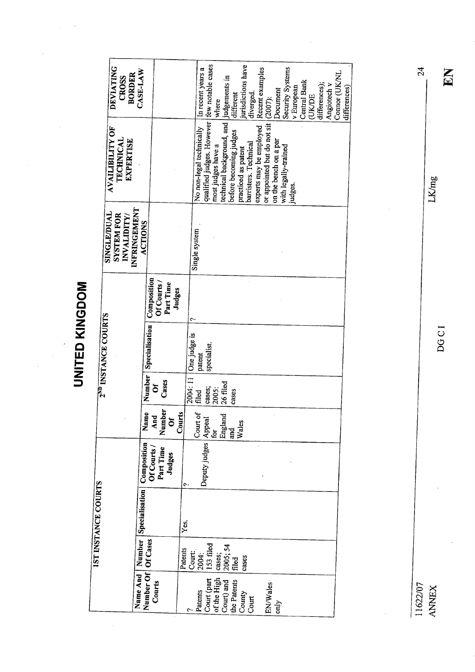**UNITED KINGDOM** UNITED KINGDOM

 $\ddot{\phantom{0}}$ 

 $\frac{1}{2}$ 

 $\ddot{\cdot}$ 

| <b>DEVIATING</b><br><b>BORDER</b><br><b>CROSS</b>               | CASE-LAW                                                                       |                                                  |                       | In recent years a        | where                                                                                                             |                                         | different              | jurisdictions have<br>diverged.              | Recent examples         |                                     | Document              | Security Systems     | v European | Central Bank | <b>(UK/DE</b> | differences); | Angiotech v | Connor (UKNL | differences) |
|-----------------------------------------------------------------|--------------------------------------------------------------------------------|--------------------------------------------------|-----------------------|--------------------------|-------------------------------------------------------------------------------------------------------------------|-----------------------------------------|------------------------|----------------------------------------------|-------------------------|-------------------------------------|-----------------------|----------------------|------------|--------------|---------------|---------------|-------------|--------------|--------------|
| <b>AVAILIBILITY OF</b><br>TECHNICAL<br>EXPERTISE                |                                                                                |                                                  |                       | No non-legal technically | qualified judges. However few notable cases<br>most judges have a                                                 | technical background, and judgements in | before becoming judges | barristers. Technical<br>practiced as patent | experts may be employed | or appointed but do not sit (2007): | on the bench on a par | with legally-trained | judges.    |              |               |               |             |              |              |
| INFRINGEMENT<br>SINGLE/DUAL<br><b>SYSTEM FOR</b><br>INVALIDITY/ | ACTIONS                                                                        |                                                  |                       | Single system            |                                                                                                                   |                                         |                        |                                              |                         |                                     |                       |                      |            |              |               |               |             |              |              |
|                                                                 | Composition                                                                    | Of Courts/<br>Part Time<br>Judges                |                       | ي                        |                                                                                                                   |                                         |                        |                                              |                         |                                     |                       |                      |            |              |               |               |             |              |              |
| 2 <sup>ND</sup> INSTANCE COURTS                                 | Specialisation                                                                 |                                                  | 2004: 11 One judge is | patent                   | specialist.                                                                                                       |                                         |                        |                                              |                         |                                     |                       |                      |            |              |               |               |             |              |              |
|                                                                 | Number                                                                         | Cases<br>$\bar{\circ}$                           |                       | filed                    | cases;<br>2005:                                                                                                   | 26 filed                                | cases                  |                                              |                         |                                     |                       |                      |            |              |               |               |             |              |              |
|                                                                 | $\overline{\mathbf{e}}$<br>Nam                                                 | Number<br>$\overline{\mathbf{A}}$ nd<br>$\delta$ | Courts                | Court of                 |                                                                                                                   |                                         | Wales<br>and<br>Fi     |                                              |                         |                                     |                       |                      |            |              |               |               |             |              |              |
|                                                                 | $\begin{bmatrix} \text{Composition} \ \text{Of} \text{Conrts} / \end{bmatrix}$ | Part Time<br>Judges                              | ۴                     |                          | $\begin{array}{ l } \hline \text{Deputy judges} & \text{Append} \ \hline \text{for} & \text{England} \end{array}$ |                                         |                        |                                              |                         |                                     |                       |                      |            |              |               |               |             |              |              |
| IST INSTANCE COURTS                                             | Name And   Number   Specialisation  <br>Number Of   Of Cases                   |                                                  | Yes.                  |                          |                                                                                                                   |                                         |                        |                                              |                         |                                     |                       |                      |            |              |               |               |             |              |              |
|                                                                 |                                                                                |                                                  | Patents               | Court:<br>2004:          | 153 filed                                                                                                         | cases;<br>2005; 54                      | filed                  | cases                                        |                         |                                     |                       |                      |            |              |               |               |             |              |              |
|                                                                 | Name And                                                                       | Courts                                           |                       |                          | Patents<br>Court (part<br>of the High                                                                             | Court) and<br>the Patents               |                        | County<br>Court                              |                         | EN/Wales                            | only                  |                      |            |              |               |               |             |              |              |

11622/07 ANNX

DG C I

EN

24

LK/mg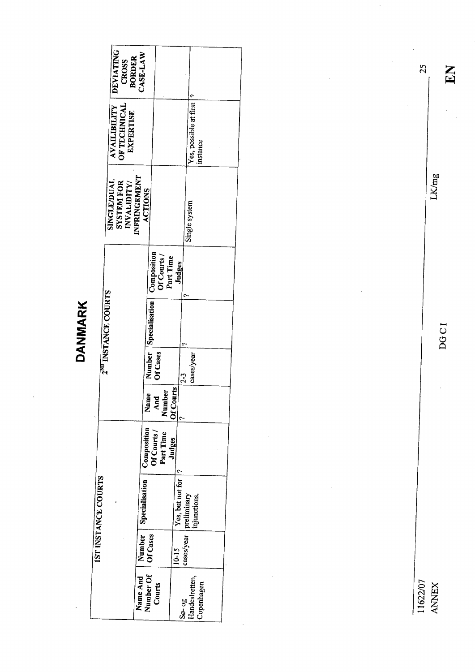|                                 | <b>DEVIATING</b><br><b>CROSS</b> | CASE-LAW<br><b>BORDER</b>  |                       |                                         |                     |                                           |  |
|---------------------------------|----------------------------------|----------------------------|-----------------------|-----------------------------------------|---------------------|-------------------------------------------|--|
|                                 | AVAILIBILITY<br>OF TECHNICAL     | <b>EXPERTISE</b>           |                       |                                         |                     | Yes, possible at first  ?<br>instance     |  |
|                                 | SINGLE/DUAL<br><b>SYSTEM FOR</b> | NFRINGEMENT<br>INVALIDITY/ | ACTIONS               |                                         |                     | Single system                             |  |
|                                 |                                  |                            |                       | Composition<br>Of Courts /<br>Part Time | Judges              |                                           |  |
| 2 <sup>ND</sup> INSTANCE COURTS |                                  |                            | Number Specialisation |                                         |                     |                                           |  |
|                                 |                                  |                            |                       | Of Cases                                |                     | cases/year<br>23                          |  |
|                                 |                                  |                            | Name                  | Number<br>And                           | <b>Of Courts</b>    |                                           |  |
|                                 |                                  |                            | Composition           | Of Courts /<br>Part Time                | Judges              |                                           |  |
| IST INSTANCE COURTS             |                                  |                            | Specialisation        |                                         | Yes, but not for  ? | cases/year preliminary<br>  injunctions.  |  |
|                                 |                                  | Number 1                   | Of Cases              |                                         | $10 - 15$           |                                           |  |
|                                 |                                  | Name And                   | Number Of             | Courts                                  |                     | Handeslretten,<br>Copenhagen<br>$50 - 98$ |  |

11622/07 ANEX

DOC I

LK/mg

EN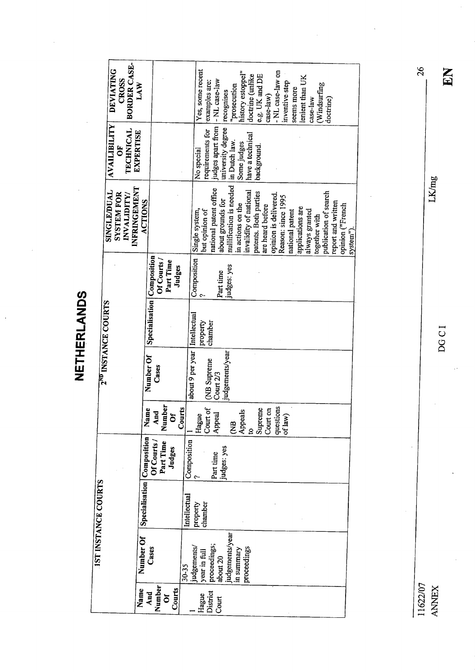NETHERLANDS NETHERLANDS

**BORDER CASE-**2<sup>nd</sup> INSTANCE COURTS SINGLE/DUAL AVAILIBILITY DEVIATING SYSTEM FOR OF CROSS INVALIDITY/ TECHNICAL BORDER CASE- Inder of Law Actions. **DEVIATING** Name Number Of Specialisation Composition Name Number Of Specialisation Composition ACTIONS<br>And Cases Of Specialisation Of Courts/ And Cases<br>Number Cases Part Time Number Cases Part Time Part Time Cases Part Time<br>Courts 19 -NL case-law on Yes, some recent Hotenments/ property  $\gamma$  in the second composition of the system. The properties of the system is the property property of the system includes are the product process of examples are:<br>
Court about 20 in the contract of t history estoppel<sup>\*</sup> doctrine (unlike e.g. UK and DE lenient than UK CROSS applications are lens in the lenient than UK<br>always granted judges apart from |- NL case-law LAW examples are: inventive step Windsurfing prosecution always granted case-law together with together with  $\frac{1}{\text{coker}(\text{m})}$  publication of search doctrne) report and written seems more inventive step of law)<br>not law) inventive st<br>seems more<br>seems more recognises  $case-law)$ doctrine) case-law university degree **AVAILIBILITY** requirements for **TECHNICAL EXPERTISE** have a technical in Dutch law. Some judges background. ŏ No special nullification is needed **INFRINGEMENT** national patent office **SINGLE/DUAL** invalidity of national patents. Both parties publication of search **SYSTEM FOR** INVALIDITY/ opinion is delivered. Reason: since 1995 **ACTIONS** about grounds for report and written in actions on the opinion ("French are heard before opinion ("French applications are but opinion of Composition Single system, national patent always granted together with system"). Specialisation Composition Of Courts / Part Time Judges judges: yes Part time 2<sup>ND</sup> INSTANCE COURTS about 9 per year Intellectual property<br>chamber judgements/year Number Of (NB Supreme<br>Court 2/3 Cases  $\left| \begin{array}{c} \text{questions} \\ \text{of law} \end{array} \right|$ Number Courts Name Court on Court of Supreme And Appeals  $\delta$ Appeal Hague  $\tilde{z}$  $\overline{S}$ Number Of Specialisation Composition Composition Of Courts / Part Time judges: yes Judges Part time  $\ddot{\sim}$ **IST INSTANCE COURTS** 1ST INSTANCE COURTS Intellectual property<br>chamber judgements/year Cases proceedings; judgements/ in summary proceedings year in full about 20  $30 - 35$ **Courts** Number Name And District  $\sigma$ Hague Court

LK/mg

26

EN

 $DGCI$  and  $E$ **DGCI** 

11622/07 **ANNEX**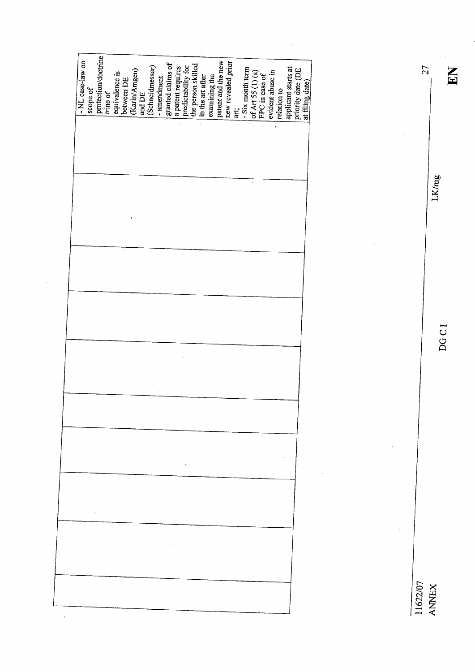| - NL case-law on | scope of |  |  |  | $\begin{tabular}{ l l } \hline\text{projection/doctrine}\\ \hline \text{trine of}\\ \text{equivalence is}\\ \text{between DE}\\ \hline \text{Rctm/Angen)}\\ \hline \text{and DE}\\ \hline \text{and DE}\\ \hline \text{Schnidmessage)}\\ \hline \end{tabular}$ | - amendment<br>granted claims of<br>a patent requires<br>predictability for<br>the person skilled<br>the person skilled |  |  |  |  |  | examining the<br>patent and the new revealed prior<br>new revealed prior<br>art, six month term<br>of Art 55 (1) (a)<br>FPC in case of<br>evident abuse in<br>evident abuse in<br>relation to |  | priority date (DE<br>at filing date) |  |
|------------------|----------|--|--|--|----------------------------------------------------------------------------------------------------------------------------------------------------------------------------------------------------------------------------------------------------------------|-------------------------------------------------------------------------------------------------------------------------|--|--|--|--|--|-----------------------------------------------------------------------------------------------------------------------------------------------------------------------------------------------|--|--------------------------------------|--|
|                  |          |  |  |  |                                                                                                                                                                                                                                                                |                                                                                                                         |  |  |  |  |  |                                                                                                                                                                                               |  |                                      |  |
|                  |          |  |  |  |                                                                                                                                                                                                                                                                |                                                                                                                         |  |  |  |  |  |                                                                                                                                                                                               |  |                                      |  |
|                  |          |  |  |  |                                                                                                                                                                                                                                                                |                                                                                                                         |  |  |  |  |  |                                                                                                                                                                                               |  |                                      |  |
|                  |          |  |  |  |                                                                                                                                                                                                                                                                |                                                                                                                         |  |  |  |  |  |                                                                                                                                                                                               |  |                                      |  |
|                  |          |  |  |  |                                                                                                                                                                                                                                                                |                                                                                                                         |  |  |  |  |  |                                                                                                                                                                                               |  |                                      |  |
|                  |          |  |  |  |                                                                                                                                                                                                                                                                |                                                                                                                         |  |  |  |  |  |                                                                                                                                                                                               |  |                                      |  |
|                  |          |  |  |  |                                                                                                                                                                                                                                                                |                                                                                                                         |  |  |  |  |  |                                                                                                                                                                                               |  |                                      |  |
|                  |          |  |  |  |                                                                                                                                                                                                                                                                |                                                                                                                         |  |  |  |  |  |                                                                                                                                                                                               |  |                                      |  |
|                  |          |  |  |  |                                                                                                                                                                                                                                                                |                                                                                                                         |  |  |  |  |  |                                                                                                                                                                                               |  |                                      |  |
|                  |          |  |  |  |                                                                                                                                                                                                                                                                | $\sim 10^{-1}$                                                                                                          |  |  |  |  |  |                                                                                                                                                                                               |  |                                      |  |
|                  |          |  |  |  |                                                                                                                                                                                                                                                                |                                                                                                                         |  |  |  |  |  |                                                                                                                                                                                               |  |                                      |  |

 $\ddot{\phantom{0}}$ 

 $\hat{\mathcal{A}}$ 

 $\hat{\mathcal{A}}$ 

 $\begin{array}{cc}\n\text{ANLEX} \\
\text{ANLEX}\n\end{array}$ LK/mg

 $\frac{1}{2}$ 

EN

27

DOC I

11622/07<br>ANNEX

 $\ddot{\phantom{0}}$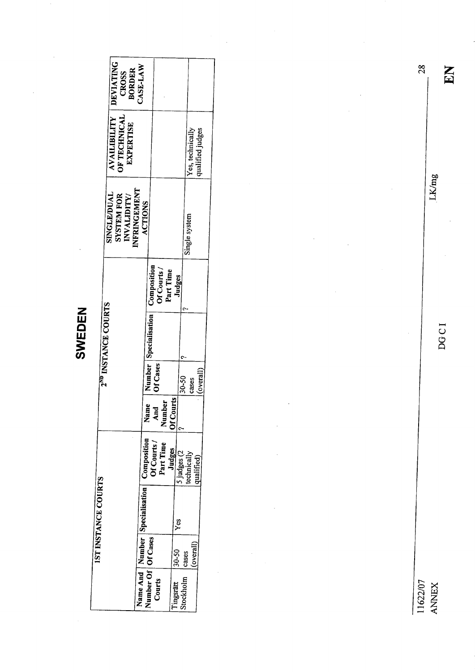SWEDEN

| <b>DEVIATING</b><br><b>CROSS<br/>BORDER</b>                    | CASE-LAW                           |                                         |             |                                      |           |
|----------------------------------------------------------------|------------------------------------|-----------------------------------------|-------------|--------------------------------------|-----------|
| AVAILIBILITY<br>OF TECHNICAL<br>EXPERTISE                      |                                    |                                         |             | qualified judges<br>Yes, technically |           |
| NFRINGEMENT<br>SINGLE/DUAL<br>INVALIDITY/<br><b>SYSTEM FOR</b> | <b>ACTIONS</b>                     |                                         |             | Single system                        |           |
|                                                                |                                    | Composition<br>Of Courts /<br>Part Time | Judges      |                                      |           |
| 2 <sup>ND</sup> INSTANCE COURTS                                | Number   Specialisation            |                                         |             |                                      |           |
|                                                                |                                    | Ji Cases                                |             | 30-50<br>cases                       | (overall' |
|                                                                | Name                               | Number<br>And                           | Of Courts   |                                      |           |
|                                                                | Composition                        | Of Courts/<br>Part Time<br>Judges       | 5 judges (2 | technically<br>qualified)            |           |
| <b>IST INSTANCE COURTS</b>                                     | Name And   Number   Specialisation |                                         | $Y_{ES}$    |                                      |           |
|                                                                |                                    |                                         | 30-50       | (overall)<br>cases                   |           |
|                                                                | Number Of   Of Cases               | Courts                                  | Tingsrätt   | Stockholm                            |           |

 $\hat{\boldsymbol{\beta}}$ 

11622/07 ANNEX

**DGCI** 

 $\ddot{\phantom{0}}$ 

. LK/mg

EN  $DGC1$  and  $E$  is a set of  $\overline{E}$  is a set of  $\overline{E}$  is a set of  $E$  is a set of  $E$  is a set of  $E$  is a set of  $E$  is a set of  $E$  is a set of  $E$  is a set of  $E$  is a set of  $E$  is a set of  $E$  is a set of  $E$  is a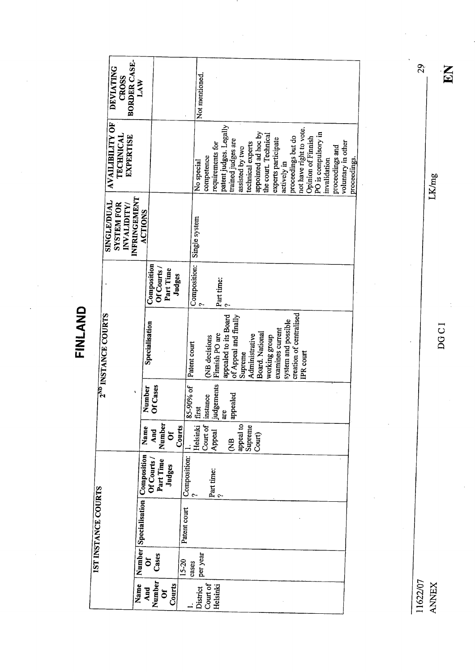FINLAND

 $\overline{\phantom{a}}$ 

|                                 | BORDER CASE-<br><b>DEVIATING</b><br>CROSS                       | LAW                   |                            |                     |                    | Not mentioned. |                        |                                            |                                                |                 |                   |                     |                      |                     |                     |                         |                         |                    |                                     |                 |                    |              |
|---------------------------------|-----------------------------------------------------------------|-----------------------|----------------------------|---------------------|--------------------|----------------|------------------------|--------------------------------------------|------------------------------------------------|-----------------|-------------------|---------------------|----------------------|---------------------|---------------------|-------------------------|-------------------------|--------------------|-------------------------------------|-----------------|--------------------|--------------|
|                                 | <b>AVAILIBILITY OF</b><br><b>TECHNICAL</b><br>EXPERTISE         |                       |                            |                     |                    | No special     | competence             | patent judges. Legally<br>requirements for | trained judges are                             | assisted by two | technical experts | appointed ad hoc by | the court. Technical | experts participate | actively in         | proceedings but do      | not have right to vote. | Opinion of Finnish | PO is compulsory in<br>invalidation | proceedings and | voluntary in other | proceedings. |
|                                 | INFRINGEMENT<br>SINGLE/DUAL<br><b>SYSTEM FOR</b><br>INVALIDITY/ | <b>ACTIONS</b>        |                            |                     |                    | Single system  |                        |                                            |                                                |                 |                   |                     |                      |                     |                     |                         |                         |                    |                                     |                 |                    |              |
|                                 |                                                                 |                       | Composition<br>Of Courts / | Part Time<br>Judges |                    | Composition:   |                        | Part time:                                 |                                                |                 |                   |                     |                      |                     |                     |                         |                         |                    |                                     |                 |                    |              |
| 2 <sup>ND</sup> INSTANCE COURTS |                                                                 | Specialisation        |                            |                     | Patent court       |                | (NB decisions          | Finnish PO are                             | appealed to its Board<br>of Appeal and finally | Supreme         | Administrative    | Board. National     | working group        | examines current    | system and possible | creation of centralised | <b>IPR</b> court        |                    |                                     |                 |                    |              |
|                                 |                                                                 | Number                | Of Cases                   |                     | 85-90% of          | first          | instance<br>judgements | are                                        | appealed                                       |                 |                   |                     |                      |                     |                     |                         |                         |                    |                                     |                 |                    |              |
|                                 |                                                                 | Name                  | Number<br>And              | ð                   | Courts             | Helsinki       | Court of<br>Appeal     |                                            | <b>EK</b>                                      | appeal to       | Supreme           | Court)              |                      |                     |                     |                         |                         |                    |                                     |                 |                    |              |
|                                 |                                                                 | Composition           | Part Time<br>Of Courts     | Judges              | Composition:       |                | Part time:             |                                            |                                                |                 |                   |                     |                      |                     |                     |                         |                         |                    |                                     |                 |                    |              |
| 1ST INSTANCE COURTS             |                                                                 | Number Specialisation |                            |                     | Patent court       |                |                        |                                            |                                                |                 |                   |                     |                      |                     |                     |                         |                         |                    |                                     |                 |                    |              |
|                                 |                                                                 | ð                     | Cases                      |                     | $15 - 20$<br>cases | per year       |                        |                                            |                                                |                 |                   |                     |                      |                     |                     |                         |                         |                    |                                     |                 |                    |              |
|                                 |                                                                 | Name<br>And           | Number<br>$\tilde{\sigma}$ | Courts              |                    | District       | Court of               | Helsinki                                   |                                                |                 |                   |                     |                      |                     |                     |                         |                         |                    |                                     |                 |                    |              |

 $\frac{1}{2}$ 

11622/07 ANNEX

DOC I

 $\ddot{\phantom{0}}$ 

j.

EN

LK/mg

29

<sup>1</sup>

 $\bar{\beta}$